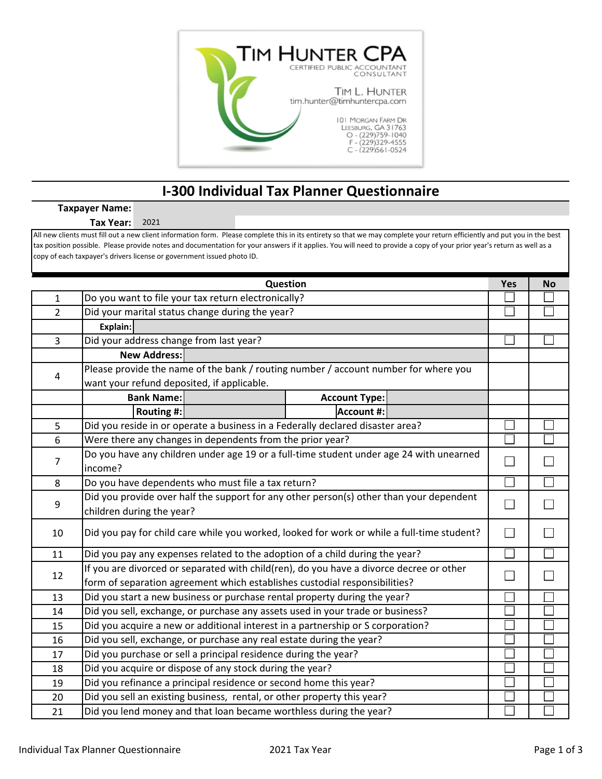

## **I‐300 Individual Tax Planner Questionnaire**

## **Taxpayer Name:**

**Tax Year:** 2021

All new clients must fill out a new client information form. Please complete this in its entirety so that we may complete your return efficiently and put you in the best tax position possible. Please provide notes and documentation for your answers if it applies. You will need to provide a copy of your prior year's return as well as a copy of each taxpayer's drivers license or government issued photo ID.

|                | Question                                                                                   | Yes    | <b>No</b> |
|----------------|--------------------------------------------------------------------------------------------|--------|-----------|
| 1              | Do you want to file your tax return electronically?                                        |        |           |
| $\overline{2}$ | Did your marital status change during the year?                                            |        |           |
|                | Explain:                                                                                   |        |           |
| $\overline{3}$ | Did your address change from last year?                                                    |        |           |
|                | <b>New Address:</b>                                                                        |        |           |
| 4              | Please provide the name of the bank / routing number / account number for where you        |        |           |
|                | want your refund deposited, if applicable.                                                 |        |           |
|                | <b>Bank Name:</b><br><b>Account Type:</b>                                                  |        |           |
|                | <b>Account #:</b><br>Routing #:                                                            |        |           |
| 5              | Did you reside in or operate a business in a Federally declared disaster area?             |        |           |
| 6              | Were there any changes in dependents from the prior year?                                  |        |           |
| $\overline{7}$ | Do you have any children under age 19 or a full-time student under age 24 with unearned    |        |           |
|                | income?                                                                                    |        |           |
| 8              | Do you have dependents who must file a tax return?                                         |        |           |
| 9              | Did you provide over half the support for any other person(s) other than your dependent    | $\sim$ |           |
|                | children during the year?                                                                  |        |           |
| 10             | Did you pay for child care while you worked, looked for work or while a full-time student? |        |           |
| 11             | Did you pay any expenses related to the adoption of a child during the year?               |        |           |
| 12             | If you are divorced or separated with child(ren), do you have a divorce decree or other    |        |           |
|                | form of separation agreement which establishes custodial responsibilities?                 |        |           |
| 13             | Did you start a new business or purchase rental property during the year?                  |        |           |
| 14             | Did you sell, exchange, or purchase any assets used in your trade or business?             |        |           |
| 15             | Did you acquire a new or additional interest in a partnership or S corporation?            |        |           |
| 16             | Did you sell, exchange, or purchase any real estate during the year?                       |        |           |
| 17             | Did you purchase or sell a principal residence during the year?                            |        |           |
| 18             | Did you acquire or dispose of any stock during the year?                                   |        |           |
| 19             | Did you refinance a principal residence or second home this year?                          |        |           |
| 20             | Did you sell an existing business, rental, or other property this year?                    |        |           |
| 21             | Did you lend money and that loan became worthless during the year?                         |        |           |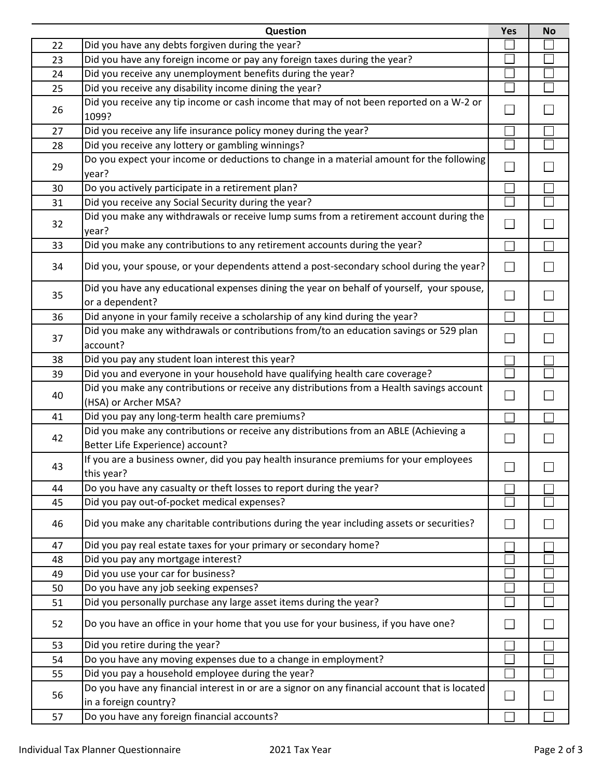|    | Question                                                                                                                  | Yes | <b>No</b> |
|----|---------------------------------------------------------------------------------------------------------------------------|-----|-----------|
| 22 | Did you have any debts forgiven during the year?                                                                          |     |           |
| 23 | Did you have any foreign income or pay any foreign taxes during the year?                                                 |     |           |
| 24 | Did you receive any unemployment benefits during the year?                                                                |     |           |
| 25 | Did you receive any disability income dining the year?                                                                    |     |           |
| 26 | Did you receive any tip income or cash income that may of not been reported on a W-2 or<br>1099?                          |     |           |
| 27 | Did you receive any life insurance policy money during the year?                                                          |     |           |
| 28 | Did you receive any lottery or gambling winnings?                                                                         |     |           |
| 29 | Do you expect your income or deductions to change in a material amount for the following<br>year?                         |     |           |
| 30 | Do you actively participate in a retirement plan?                                                                         |     |           |
| 31 | Did you receive any Social Security during the year?                                                                      |     |           |
| 32 | Did you make any withdrawals or receive lump sums from a retirement account during the<br>year?                           |     |           |
| 33 | Did you make any contributions to any retirement accounts during the year?                                                |     |           |
| 34 | Did you, your spouse, or your dependents attend a post-secondary school during the year?                                  |     |           |
| 35 | Did you have any educational expenses dining the year on behalf of yourself, your spouse,<br>or a dependent?              |     |           |
| 36 | Did anyone in your family receive a scholarship of any kind during the year?                                              |     |           |
| 37 | Did you make any withdrawals or contributions from/to an education savings or 529 plan<br>account?                        |     |           |
| 38 | Did you pay any student loan interest this year?                                                                          |     |           |
| 39 | Did you and everyone in your household have qualifying health care coverage?                                              |     |           |
| 40 | Did you make any contributions or receive any distributions from a Health savings account<br>(HSA) or Archer MSA?         |     |           |
| 41 | Did you pay any long-term health care premiums?                                                                           |     |           |
| 42 | Did you make any contributions or receive any distributions from an ABLE (Achieving a<br>Better Life Experience) account? |     |           |
| 43 | If you are a business owner, did you pay health insurance premiums for your employees<br>this year?                       | □   |           |
| 44 | Do you have any casualty or theft losses to report during the year?                                                       |     |           |
| 45 | Did you pay out-of-pocket medical expenses?                                                                               |     |           |
| 46 | Did you make any charitable contributions during the year including assets or securities?                                 |     |           |
| 47 | Did you pay real estate taxes for your primary or secondary home?                                                         |     |           |
| 48 | Did you pay any mortgage interest?                                                                                        |     |           |
| 49 | Did you use your car for business?                                                                                        |     |           |
| 50 | Do you have any job seeking expenses?                                                                                     |     |           |
| 51 | Did you personally purchase any large asset items during the year?                                                        |     |           |
| 52 | Do you have an office in your home that you use for your business, if you have one?                                       |     |           |
| 53 | Did you retire during the year?                                                                                           |     |           |
| 54 | Do you have any moving expenses due to a change in employment?                                                            |     |           |
| 55 | Did you pay a household employee during the year?                                                                         |     |           |
| 56 | Do you have any financial interest in or are a signor on any financial account that is located<br>in a foreign country?   |     |           |
| 57 | Do you have any foreign financial accounts?                                                                               |     |           |